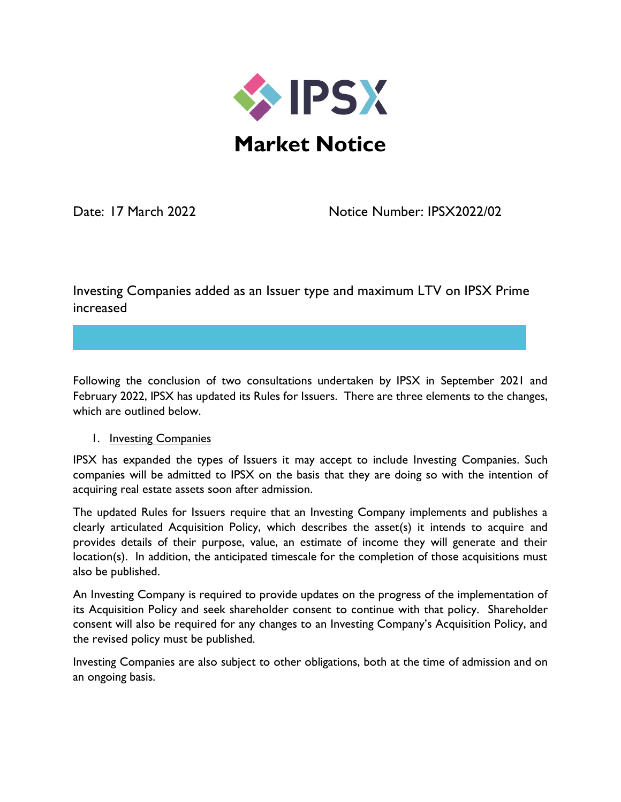

Date: 17 March 2022 Notice Number: IPSX2022/02

Investing Companies added as an Issuer type and maximum LTV on IPSX Prime increased

Following the conclusion of two consultations undertaken by IPSX in September 2021 and February 2022, IPSX has updated its Rules for Issuers. There are three elements to the changes, which are outlined below.

## 1. **Investing Companies**

IPSX has expanded the types of Issuers it may accept to include Investing Companies. Such companies will be admitted to IPSX on the basis that they are doing so with the intention of acquiring real estate assets soon after admission.

The updated Rules for Issuers require that an Investing Company implements and publishes a clearly articulated Acquisition Policy, which describes the asset(s) it intends to acquire and provides details of their purpose, value, an estimate of income they will generate and their location(s). In addition, the anticipated timescale for the completion of those acquisitions must also be published.

An Investing Company is required to provide updates on the progress of the implementation of its Acquisition Policy and seek shareholder consent to continue with that policy. Shareholder consent will also be required for any changes to an Investing Company's Acquisition Policy, and the revised policy must be published.

Investing Companies are also subject to other obligations, both at the time of admission and on an ongoing basis.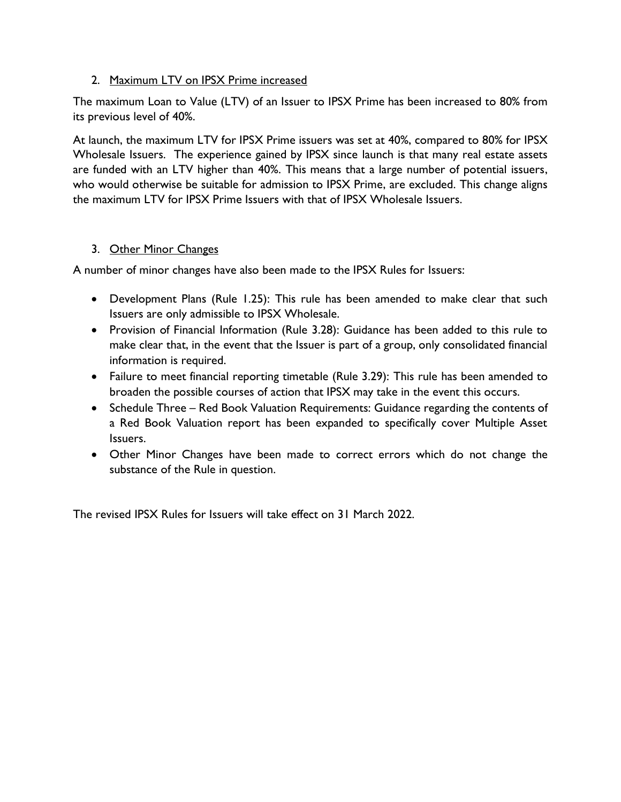## 2. Maximum LTV on IPSX Prime increased

The maximum Loan to Value (LTV) of an Issuer to IPSX Prime has been increased to 80% from its previous level of 40%.

At launch, the maximum LTV for IPSX Prime issuers was set at 40%, compared to 80% for IPSX Wholesale Issuers. The experience gained by IPSX since launch is that many real estate assets are funded with an LTV higher than 40%. This means that a large number of potential issuers, who would otherwise be suitable for admission to IPSX Prime, are excluded. This change aligns the maximum LTV for IPSX Prime Issuers with that of IPSX Wholesale Issuers.

## 3. Other Minor Changes

A number of minor changes have also been made to the IPSX Rules for Issuers:

- Development Plans (Rule 1.25): This rule has been amended to make clear that such Issuers are only admissible to IPSX Wholesale.
- Provision of Financial Information (Rule 3.28): Guidance has been added to this rule to make clear that, in the event that the Issuer is part of a group, only consolidated financial information is required.
- Failure to meet financial reporting timetable (Rule 3.29): This rule has been amended to broaden the possible courses of action that IPSX may take in the event this occurs.
- Schedule Three Red Book Valuation Requirements: Guidance regarding the contents of a Red Book Valuation report has been expanded to specifically cover Multiple Asset Issuers.
- Other Minor Changes have been made to correct errors which do not change the substance of the Rule in question.

The revised IPSX Rules for Issuers will take effect on 31 March 2022.